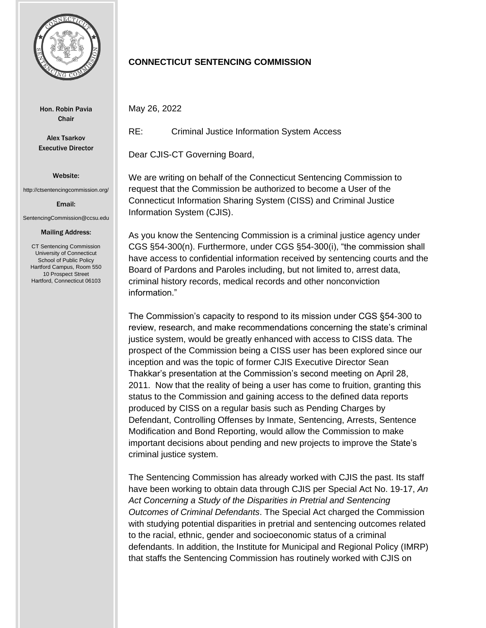

Hon. Robin Pavia Chair

Alex Tsarkov Executive Director

Website:

http://ctsentencingcommission.org/

Email:

SentencingCommission@ccsu.edu

## Mailing Address:

CT Sentencing Commission University of Connecticut School of Public Policy Hartford Campus, Room 550 10 Prospect Street Hartford, Connecticut 06103

## **CONNECTICUT SENTENCING COMMISSION**

May 26, 2022

RE: Criminal Justice Information System Access

Dear CJIS-CT Governing Board,

We are writing on behalf of the Connecticut Sentencing Commission to request that the Commission be authorized to become a User of the Connecticut Information Sharing System (CISS) and Criminal Justice Information System (CJIS).

As you know the Sentencing Commission is a criminal justice agency under CGS §54-300(n). Furthermore, under CGS §54-300(i), "the commission shall have access to confidential information received by sentencing courts and the Board of Pardons and Paroles including, but not limited to, arrest data, criminal history records, medical records and other nonconviction information."

The Commission's capacity to respond to its mission under CGS §54-300 to review, research, and make recommendations concerning the state's criminal justice system, would be greatly enhanced with access to CISS data. The prospect of the Commission being a CISS user has been explored since our inception and was the topic of former CJIS Executive Director Sean Thakkar's presentation at the Commission's second meeting on April 28, 2011. Now that the reality of being a user has come to fruition, granting this status to the Commission and gaining access to the defined data reports produced by CISS on a regular basis such as Pending Charges by Defendant, Controlling Offenses by Inmate, Sentencing, Arrests, Sentence Modification and Bond Reporting, would allow the Commission to make important decisions about pending and new projects to improve the State's criminal justice system.

The Sentencing Commission has already worked with CJIS the past. Its staff have been working to obtain data through CJIS per Special Act No. 19-17, *An Act Concerning a Study of the Disparities in Pretrial and Sentencing Outcomes of Criminal Defendants*. The Special Act charged the Commission with studying potential disparities in pretrial and sentencing outcomes related to the racial, ethnic, gender and socioeconomic status of a criminal defendants. In addition, the Institute for Municipal and Regional Policy (IMRP) that staffs the Sentencing Commission has routinely worked with CJIS on